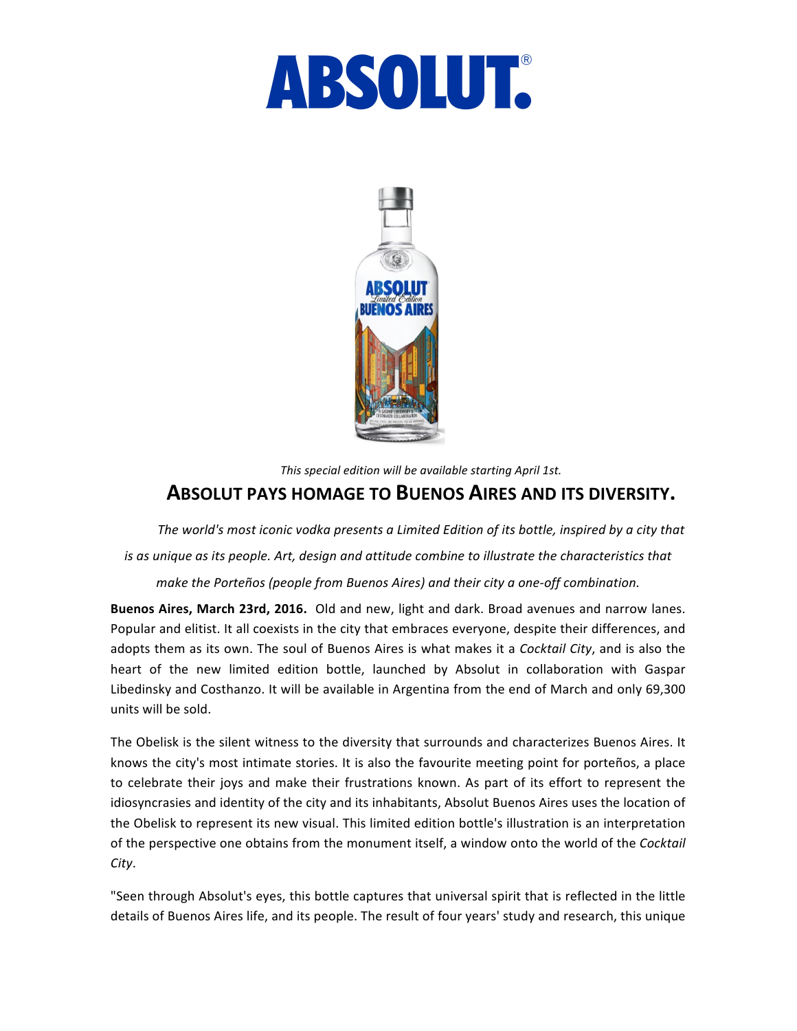



## *This special edition will be available starting April 1st.* **ABSOLUT PAYS HOMAGE TO BUENOS AIRES AND ITS DIVERSITY.**

*The world's most iconic vodka presents a Limited Edition of its bottle, inspired by a city that is as unique as its people. Art, design and attitude combine to illustrate the characteristics that make the Porteños (people from Buenos Aires) and their city a one-off combination.*

**Buenos Aires, March 23rd, 2016.** Old and new, light and dark. Broad avenues and narrow lanes. Popular and elitist. It all coexists in the city that embraces everyone, despite their differences, and adopts them as its own. The soul of Buenos Aires is what makes it a *Cocktail City*, and is also the heart of the new limited edition bottle, launched by Absolut in collaboration with Gaspar Libedinsky and Costhanzo. It will be available in Argentina from the end of March and only 69,300 units will be sold.

The Obelisk is the silent witness to the diversity that surrounds and characterizes Buenos Aires. It knows the city's most intimate stories. It is also the favourite meeting point for porteños, a place to celebrate their joys and make their frustrations known. As part of its effort to represent the idiosyncrasies and identity of the city and its inhabitants, Absolut Buenos Aires uses the location of the Obelisk to represent its new visual. This limited edition bottle's illustration is an interpretation of the perspective one obtains from the monument itself, a window onto the world of the *Cocktail City*.

"Seen through Absolut's eyes, this bottle captures that universal spirit that is reflected in the little details of Buenos Aires life, and its people. The result of four years' study and research, this unique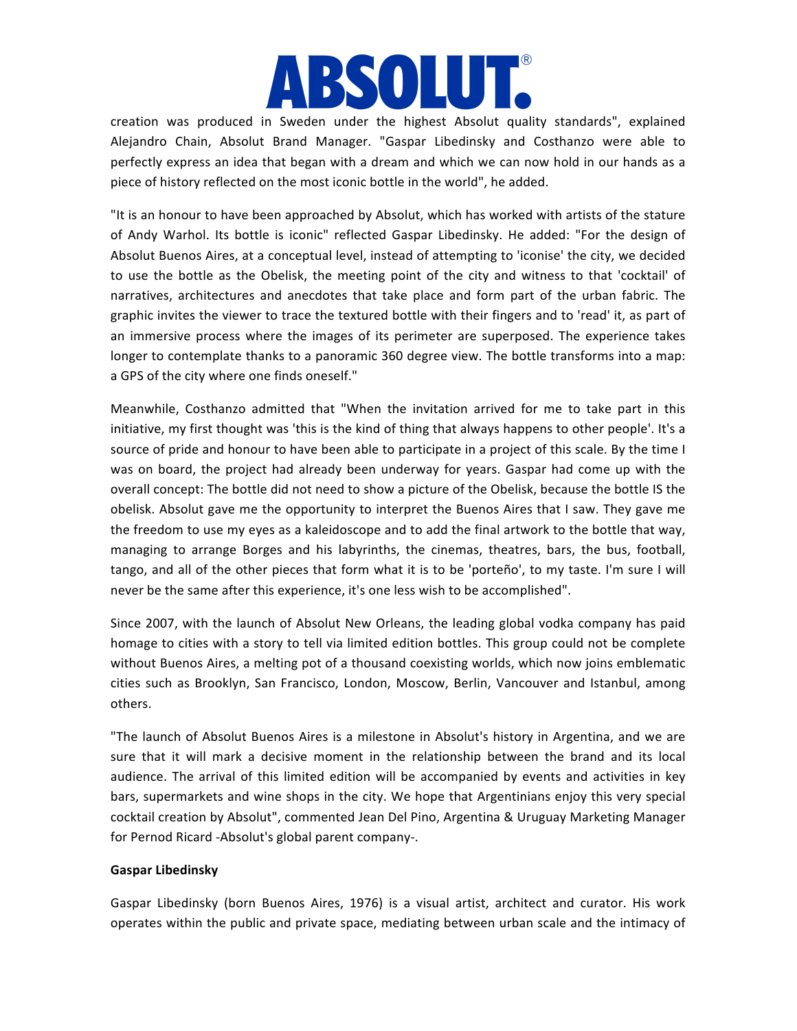# **BSOLUT.**

creation was produced in Sweden under the highest Absolut quality standards", explained Alejandro Chain, Absolut Brand Manager. "Gaspar Libedinsky and Costhanzo were able to perfectly express an idea that began with a dream and which we can now hold in our hands as a piece of history reflected on the most iconic bottle in the world", he added. 

"It is an honour to have been approached by Absolut, which has worked with artists of the stature of Andy Warhol. Its bottle is iconic" reflected Gaspar Libedinsky. He added: "For the design of Absolut Buenos Aires, at a conceptual level, instead of attempting to 'iconise' the city, we decided to use the bottle as the Obelisk, the meeting point of the city and witness to that 'cocktail' of narratives, architectures and anecdotes that take place and form part of the urban fabric. The graphic invites the viewer to trace the textured bottle with their fingers and to 'read' it, as part of an immersive process where the images of its perimeter are superposed. The experience takes longer to contemplate thanks to a panoramic 360 degree view. The bottle transforms into a map: a GPS of the city where one finds oneself."

Meanwhile, Costhanzo admitted that "When the invitation arrived for me to take part in this initiative, my first thought was 'this is the kind of thing that always happens to other people'. It's a source of pride and honour to have been able to participate in a project of this scale. By the time I was on board, the project had already been underway for years. Gaspar had come up with the overall concept: The bottle did not need to show a picture of the Obelisk, because the bottle IS the obelisk. Absolut gave me the opportunity to interpret the Buenos Aires that I saw. They gave me the freedom to use my eyes as a kaleidoscope and to add the final artwork to the bottle that way, managing to arrange Borges and his labyrinths, the cinemas, theatres, bars, the bus, football, tango, and all of the other pieces that form what it is to be 'porteño', to my taste. I'm sure I will never be the same after this experience, it's one less wish to be accomplished".

Since 2007, with the launch of Absolut New Orleans, the leading global vodka company has paid homage to cities with a story to tell via limited edition bottles. This group could not be complete without Buenos Aires, a melting pot of a thousand coexisting worlds, which now joins emblematic cities such as Brooklyn, San Francisco, London, Moscow, Berlin, Vancouver and Istanbul, among others.

"The launch of Absolut Buenos Aires is a milestone in Absolut's history in Argentina, and we are sure that it will mark a decisive moment in the relationship between the brand and its local audience. The arrival of this limited edition will be accompanied by events and activities in key bars, supermarkets and wine shops in the city. We hope that Argentinians enjoy this very special cocktail creation by Absolut", commented Jean Del Pino, Argentina & Uruguay Marketing Manager for Pernod Ricard -Absolut's global parent company-.

#### **Gaspar Libedinsky**

Gaspar Libedinsky (born Buenos Aires, 1976) is a visual artist, architect and curator. His work operates within the public and private space, mediating between urban scale and the intimacy of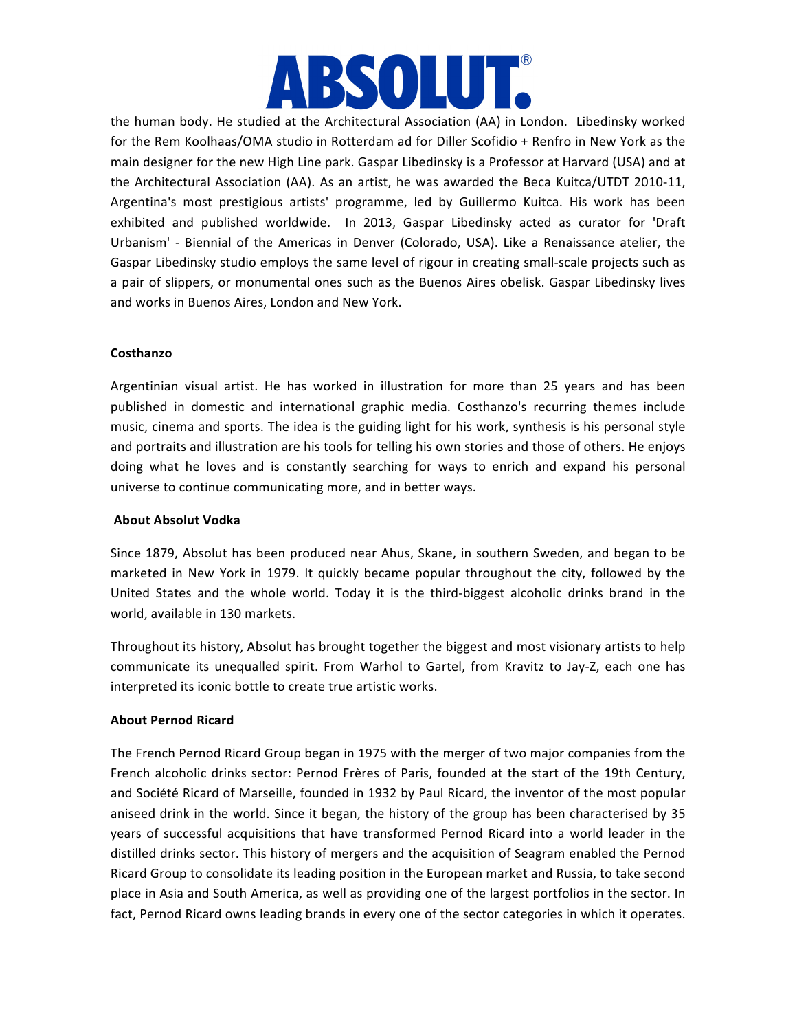

the human body. He studied at the Architectural Association (AA) in London. Libedinsky worked for the Rem Koolhaas/OMA studio in Rotterdam ad for Diller Scofidio + Renfro in New York as the main designer for the new High Line park. Gaspar Libedinsky is a Professor at Harvard (USA) and at the Architectural Association (AA). As an artist, he was awarded the Beca Kuitca/UTDT 2010-11, Argentina's most prestigious artists' programme, led by Guillermo Kuitca. His work has been exhibited and published worldwide. In 2013, Gaspar Libedinsky acted as curator for 'Draft Urbanism' - Biennial of the Americas in Denver (Colorado, USA). Like a Renaissance atelier, the Gaspar Libedinsky studio employs the same level of rigour in creating small-scale projects such as a pair of slippers, or monumental ones such as the Buenos Aires obelisk. Gaspar Libedinsky lives and works in Buenos Aires, London and New York.

#### **Costhanzo**

Argentinian visual artist. He has worked in illustration for more than 25 years and has been published in domestic and international graphic media. Costhanzo's recurring themes include music, cinema and sports. The idea is the guiding light for his work, synthesis is his personal style and portraits and illustration are his tools for telling his own stories and those of others. He enjoys doing what he loves and is constantly searching for ways to enrich and expand his personal universe to continue communicating more, and in better ways.

#### **About Absolut Vodka**

Since 1879, Absolut has been produced near Ahus, Skane, in southern Sweden, and began to be marketed in New York in 1979. It quickly became popular throughout the city, followed by the United States and the whole world. Today it is the third-biggest alcoholic drinks brand in the world, available in 130 markets.

Throughout its history, Absolut has brought together the biggest and most visionary artists to help communicate its unequalled spirit. From Warhol to Gartel, from Kravitz to Jay-Z, each one has interpreted its iconic bottle to create true artistic works.

#### **About Pernod Ricard**

The French Pernod Ricard Group began in 1975 with the merger of two major companies from the French alcoholic drinks sector: Pernod Frères of Paris, founded at the start of the 19th Century, and Société Ricard of Marseille, founded in 1932 by Paul Ricard, the inventor of the most popular aniseed drink in the world. Since it began, the history of the group has been characterised by 35 years of successful acquisitions that have transformed Pernod Ricard into a world leader in the distilled drinks sector. This history of mergers and the acquisition of Seagram enabled the Pernod Ricard Group to consolidate its leading position in the European market and Russia, to take second place in Asia and South America, as well as providing one of the largest portfolios in the sector. In fact, Pernod Ricard owns leading brands in every one of the sector categories in which it operates.